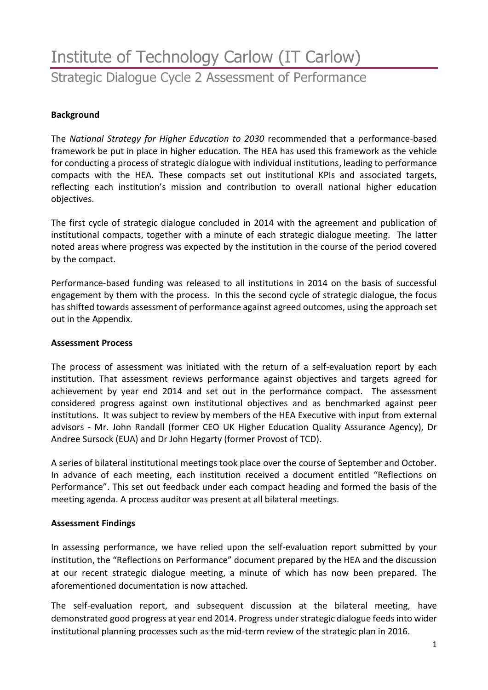# Institute of Technology Carlow (IT Carlow) Strategic Dialogue Cycle 2 Assessment of Performance

### **Background**

The *National Strategy for Higher Education to 2030* recommended that a performance-based framework be put in place in higher education. The HEA has used this framework as the vehicle for conducting a process of strategic dialogue with individual institutions, leading to performance compacts with the HEA. These compacts set out institutional KPIs and associated targets, reflecting each institution's mission and contribution to overall national higher education objectives.

The first cycle of strategic dialogue concluded in 2014 with the agreement and publication of institutional compacts, together with a minute of each strategic dialogue meeting. The latter noted areas where progress was expected by the institution in the course of the period covered by the compact.

Performance-based funding was released to all institutions in 2014 on the basis of successful engagement by them with the process. In this the second cycle of strategic dialogue, the focus has shifted towards assessment of performance against agreed outcomes, using the approach set out in the Appendix.

#### **Assessment Process**

The process of assessment was initiated with the return of a self-evaluation report by each institution. That assessment reviews performance against objectives and targets agreed for achievement by year end 2014 and set out in the performance compact. The assessment considered progress against own institutional objectives and as benchmarked against peer institutions. It was subject to review by members of the HEA Executive with input from external advisors - Mr. John Randall (former CEO UK Higher Education Quality Assurance Agency), Dr Andree Sursock (EUA) and Dr John Hegarty (former Provost of TCD).

A series of bilateral institutional meetings took place over the course of September and October. In advance of each meeting, each institution received a document entitled "Reflections on Performance". This set out feedback under each compact heading and formed the basis of the meeting agenda. A process auditor was present at all bilateral meetings.

#### **Assessment Findings**

In assessing performance, we have relied upon the self-evaluation report submitted by your institution, the "Reflections on Performance" document prepared by the HEA and the discussion at our recent strategic dialogue meeting, a minute of which has now been prepared. The aforementioned documentation is now attached.

The self-evaluation report, and subsequent discussion at the bilateral meeting, have demonstrated good progress at year end 2014. Progress under strategic dialogue feeds into wider institutional planning processes such as the mid-term review of the strategic plan in 2016.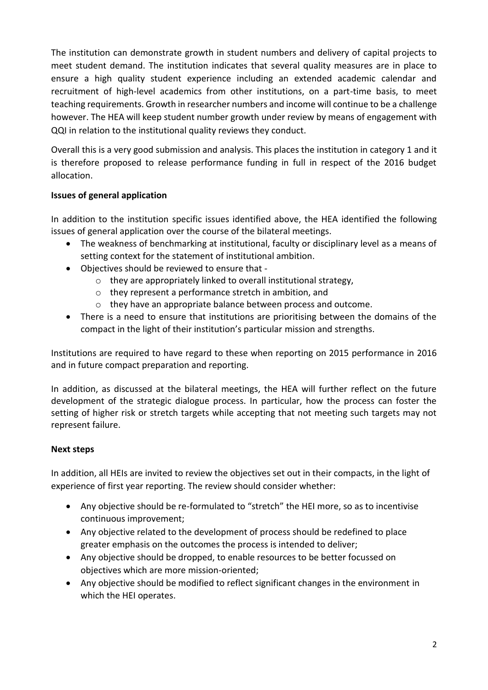The institution can demonstrate growth in student numbers and delivery of capital projects to meet student demand. The institution indicates that several quality measures are in place to ensure a high quality student experience including an extended academic calendar and recruitment of high-level academics from other institutions, on a part-time basis, to meet teaching requirements. Growth in researcher numbers and income will continue to be a challenge however. The HEA will keep student number growth under review by means of engagement with QQI in relation to the institutional quality reviews they conduct.

Overall this is a very good submission and analysis. This places the institution in category 1 and it is therefore proposed to release performance funding in full in respect of the 2016 budget allocation.

# **Issues of general application**

In addition to the institution specific issues identified above, the HEA identified the following issues of general application over the course of the bilateral meetings.

- The weakness of benchmarking at institutional, faculty or disciplinary level as a means of setting context for the statement of institutional ambition.
- Objectives should be reviewed to ensure that
	- o they are appropriately linked to overall institutional strategy,
	- o they represent a performance stretch in ambition, and
	- o they have an appropriate balance between process and outcome.
- There is a need to ensure that institutions are prioritising between the domains of the compact in the light of their institution's particular mission and strengths.

Institutions are required to have regard to these when reporting on 2015 performance in 2016 and in future compact preparation and reporting.

In addition, as discussed at the bilateral meetings, the HEA will further reflect on the future development of the strategic dialogue process. In particular, how the process can foster the setting of higher risk or stretch targets while accepting that not meeting such targets may not represent failure.

# **Next steps**

In addition, all HEIs are invited to review the objectives set out in their compacts, in the light of experience of first year reporting. The review should consider whether:

- Any objective should be re-formulated to "stretch" the HEI more, so as to incentivise continuous improvement;
- Any objective related to the development of process should be redefined to place greater emphasis on the outcomes the process is intended to deliver;
- Any objective should be dropped, to enable resources to be better focussed on objectives which are more mission-oriented;
- Any objective should be modified to reflect significant changes in the environment in which the HEI operates.